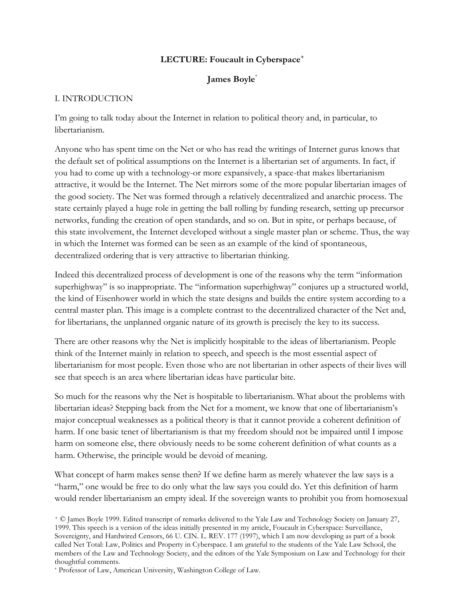#### **LECTURE: Foucault in Cyberspace<sup>+</sup>**

## **James Boyle**\*

#### I. INTRODUCTION

I'm going to talk today about the Internet in relation to political theory and, in particular, to libertarianism.

Anyone who has spent time on the Net or who has read the writings of Internet gurus knows that the default set of political assumptions on the Internet is a libertarian set of arguments. In fact, if you had to come up with a technology-or more expansively, a space-that makes libertarianism attractive, it would be the Internet. The Net mirrors some of the more popular libertarian images of the good society. The Net was formed through a relatively decentralized and anarchic process. The state certainly played a huge role in getting the ball rolling by funding research, setting up precursor networks, funding the creation of open standards, and so on. But in spite, or perhaps because, of this state involvement, the Internet developed without a single master plan or scheme. Thus, the way in which the Internet was formed can be seen as an example of the kind of spontaneous, decentralized ordering that is very attractive to libertarian thinking.

Indeed this decentralized process of development is one of the reasons why the term "information superhighway" is so inappropriate. The "information superhighway" conjures up a structured world, the kind of Eisenhower world in which the state designs and builds the entire system according to a central master plan. This image is a complete contrast to the decentralized character of the Net and, for libertarians, the unplanned organic nature of its growth is precisely the key to its success.

There are other reasons why the Net is implicitly hospitable to the ideas of libertarianism. People think of the Internet mainly in relation to speech, and speech is the most essential aspect of libertarianism for most people. Even those who are not libertarian in other aspects of their lives will see that speech is an area where libertarian ideas have particular bite.

So much for the reasons why the Net is hospitable to libertarianism. What about the problems with libertarian ideas? Stepping back from the Net for a moment, we know that one of libertarianism's major conceptual weaknesses as a political theory is that it cannot provide a coherent definition of harm. If one basic tenet of libertarianism is that my freedom should not be impaired until I impose harm on someone else, there obviously needs to be some coherent definition of what counts as a harm. Otherwise, the principle would be devoid of meaning.

What concept of harm makes sense then? If we define harm as merely whatever the law says is a "harm," one would be free to do only what the law says you could do. Yet this definition of harm would render libertarianism an empty ideal. If the sovereign wants to prohibit you from homosexual

<sup>+</sup> © James Boyle 1999. Edited transcript of remarks delivered to the Yale Law and Technology Society on January 27, 1999. This speech is a version of the ideas initially presented in my article, Foucault in Cyberspace: Surveillance, Sovereignty, and Hardwired Censors, 66 U. CIN. L. REV. 177 (1997), which I am now developing as part of a book called Net Total: Law, Politics and Property in Cyberspace. I am grateful to the students of the Yale Law School, the members of the Law and Technology Society, and the editors of the Yale Symposium on Law and Technology for their thoughtful comments.

\* Professor of Law, American University, Washington College of Law.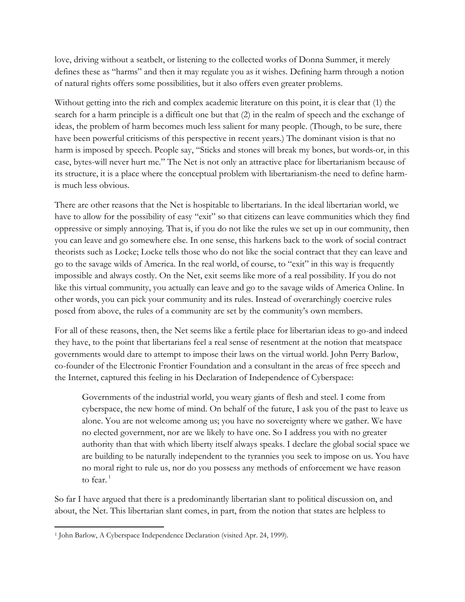love, driving without a seatbelt, or listening to the collected works of Donna Summer, it merely defines these as "harms" and then it may regulate you as it wishes. Defining harm through a notion of natural rights offers some possibilities, but it also offers even greater problems.

Without getting into the rich and complex academic literature on this point, it is clear that (1) the search for a harm principle is a difficult one but that (2) in the realm of speech and the exchange of ideas, the problem of harm becomes much less salient for many people. (Though, to be sure, there have been powerful criticisms of this perspective in recent years.) The dominant vision is that no harm is imposed by speech. People say, "Sticks and stones will break my bones, but words-or, in this case, bytes-will never hurt me." The Net is not only an attractive place for libertarianism because of its structure, it is a place where the conceptual problem with libertarianism-the need to define harmis much less obvious.

There are other reasons that the Net is hospitable to libertarians. In the ideal libertarian world, we have to allow for the possibility of easy "exit" so that citizens can leave communities which they find oppressive or simply annoying. That is, if you do not like the rules we set up in our community, then you can leave and go somewhere else. In one sense, this harkens back to the work of social contract theorists such as Locke; Locke tells those who do not like the social contract that they can leave and go to the savage wilds of America. In the real world, of course, to "exit" in this way is frequently impossible and always costly. On the Net, exit seems like more of a real possibility. If you do not like this virtual community, you actually can leave and go to the savage wilds of America Online. In other words, you can pick your community and its rules. Instead of overarchingly coercive rules posed from above, the rules of a community are set by the community's own members.

For all of these reasons, then, the Net seems like a fertile place for libertarian ideas to go-and indeed they have, to the point that libertarians feel a real sense of resentment at the notion that meatspace governments would dare to attempt to impose their laws on the virtual world. John Perry Barlow, co-founder of the Electronic Frontier Foundation and a consultant in the areas of free speech and the Internet, captured this feeling in his Declaration of Independence of Cyberspace:

Governments of the industrial world, you weary giants of flesh and steel. I come from cyberspace, the new home of mind. On behalf of the future, I ask you of the past to leave us alone. You are not welcome among us; you have no sovereignty where we gather. We have no elected government, nor are we likely to have one. So I address you with no greater authority than that with which liberty itself always speaks. I declare the global social space we are building to be naturally independent to the tyrannies you seek to impose on us. You have no moral right to rule us, nor do you possess any methods of enforcement we have reason to fear. $1$ 

So far I have argued that there is a predominantly libertarian slant to political discussion on, and about, the Net. This libertarian slant comes, in part, from the notion that states are helpless to

 $\overline{\phantom{a}}$ <sup>1</sup> John Barlow, A Cyberspace Independence Declaration (visited Apr. 24, 1999).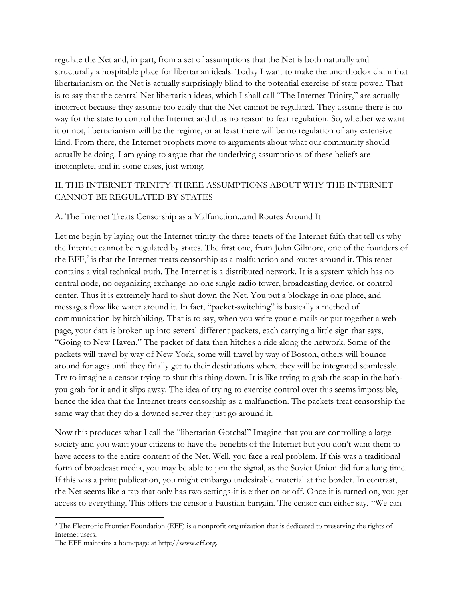regulate the Net and, in part, from a set of assumptions that the Net is both naturally and structurally a hospitable place for libertarian ideals. Today I want to make the unorthodox claim that libertarianism on the Net is actually surprisingly blind to the potential exercise of state power. That is to say that the central Net libertarian ideas, which I shall call "The Internet Trinity," are actually incorrect because they assume too easily that the Net cannot be regulated. They assume there is no way for the state to control the Internet and thus no reason to fear regulation. So, whether we want it or not, libertarianism will be the regime, or at least there will be no regulation of any extensive kind. From there, the Internet prophets move to arguments about what our community should actually be doing. I am going to argue that the underlying assumptions of these beliefs are incomplete, and in some cases, just wrong.

## II. THE INTERNET TRINITY-THREE ASSUMPTIONS ABOUT WHY THE INTERNET CANNOT BE REGULATED BY STATES

#### A. The Internet Treats Censorship as a Malfunction...and Routes Around It

Let me begin by laying out the Internet trinity-the three tenets of the Internet faith that tell us why the Internet cannot be regulated by states. The first one, from John Gilmore, one of the founders of the EFF, $^2$  is that the Internet treats censorship as a malfunction and routes around it. This tenet contains a vital technical truth. The Internet is a distributed network. It is a system which has no central node, no organizing exchange-no one single radio tower, broadcasting device, or control center. Thus it is extremely hard to shut down the Net. You put a blockage in one place, and messages flow like water around it. In fact, "packet-switching" is basically a method of communication by hitchhiking. That is to say, when you write your e-mails or put together a web page, your data is broken up into several different packets, each carrying a little sign that says, "Going to New Haven." The packet of data then hitches a ride along the network. Some of the packets will travel by way of New York, some will travel by way of Boston, others will bounce around for ages until they finally get to their destinations where they will be integrated seamlessly. Try to imagine a censor trying to shut this thing down. It is like trying to grab the soap in the bathyou grab for it and it slips away. The idea of trying to exercise control over this seems impossible, hence the idea that the Internet treats censorship as a malfunction. The packets treat censorship the same way that they do a downed server-they just go around it.

Now this produces what I call the "libertarian Gotcha!" Imagine that you are controlling a large society and you want your citizens to have the benefits of the Internet but you don't want them to have access to the entire content of the Net. Well, you face a real problem. If this was a traditional form of broadcast media, you may be able to jam the signal, as the Soviet Union did for a long time. If this was a print publication, you might embargo undesirable material at the border. In contrast, the Net seems like a tap that only has two settings-it is either on or off. Once it is turned on, you get access to everything. This offers the censor a Faustian bargain. The censor can either say, "We can

l

<sup>2</sup> The Electronic Frontier Foundation (EFF) is a nonprofit organization that is dedicated to preserving the rights of Internet users.

The EFF maintains a homepage at http://www.eff.org.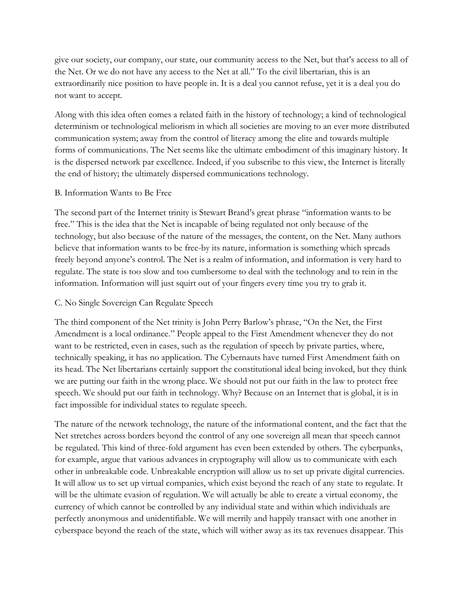give our society, our company, our state, our community access to the Net, but that's access to all of the Net. Or we do not have any access to the Net at all." To the civil libertarian, this is an extraordinarily nice position to have people in. It is a deal you cannot refuse, yet it is a deal you do not want to accept.

Along with this idea often comes a related faith in the history of technology; a kind of technological determinism or technological meliorism in which all societies are moving to an ever more distributed communication system; away from the control of literacy among the elite and towards multiple forms of communications. The Net seems like the ultimate embodiment of this imaginary history. It is the dispersed network par excellence. Indeed, if you subscribe to this view, the Internet is literally the end of history; the ultimately dispersed communications technology.

#### B. Information Wants to Be Free

The second part of the Internet trinity is Stewart Brand's great phrase "information wants to be free." This is the idea that the Net is incapable of being regulated not only because of the technology, but also because of the nature of the messages, the content, on the Net. Many authors believe that information wants to be free-by its nature, information is something which spreads freely beyond anyone's control. The Net is a realm of information, and information is very hard to regulate. The state is too slow and too cumbersome to deal with the technology and to rein in the information. Information will just squirt out of your fingers every time you try to grab it.

## C. No Single Sovereign Can Regulate Speech

The third component of the Net trinity is John Perry Barlow's phrase, "On the Net, the First Amendment is a local ordinance." People appeal to the First Amendment whenever they do not want to be restricted, even in cases, such as the regulation of speech by private parties, where, technically speaking, it has no application. The Cybernauts have turned First Amendment faith on its head. The Net libertarians certainly support the constitutional ideal being invoked, but they think we are putting our faith in the wrong place. We should not put our faith in the law to protect free speech. We should put our faith in technology. Why? Because on an Internet that is global, it is in fact impossible for individual states to regulate speech.

The nature of the network technology, the nature of the informational content, and the fact that the Net stretches across borders beyond the control of any one sovereign all mean that speech cannot be regulated. This kind of three-fold argument has even been extended by others. The cyberpunks, for example, argue that various advances in cryptography will allow us to communicate with each other in unbreakable code. Unbreakable encryption will allow us to set up private digital currencies. It will allow us to set up virtual companies, which exist beyond the reach of any state to regulate. It will be the ultimate evasion of regulation. We will actually be able to create a virtual economy, the currency of which cannot be controlled by any individual state and within which individuals are perfectly anonymous and unidentifiable. We will merrily and happily transact with one another in cyberspace beyond the reach of the state, which will wither away as its tax revenues disappear. This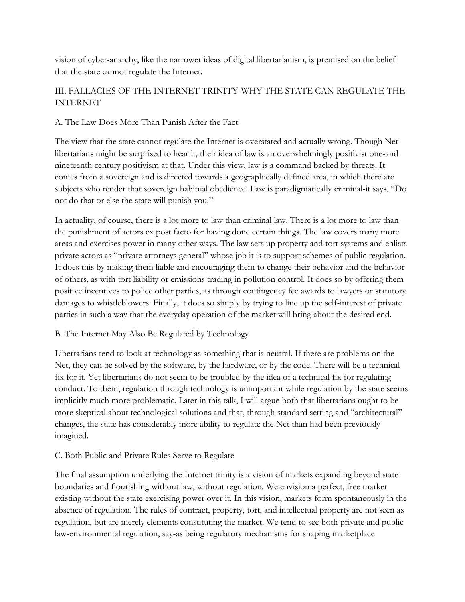vision of cyber-anarchy, like the narrower ideas of digital libertarianism, is premised on the belief that the state cannot regulate the Internet.

# III. FALLACIES OF THE INTERNET TRINITY-WHY THE STATE CAN REGULATE THE INTERNET

## A. The Law Does More Than Punish After the Fact

The view that the state cannot regulate the Internet is overstated and actually wrong. Though Net libertarians might be surprised to hear it, their idea of law is an overwhelmingly positivist one-and nineteenth century positivism at that. Under this view, law is a command backed by threats. It comes from a sovereign and is directed towards a geographically defined area, in which there are subjects who render that sovereign habitual obedience. Law is paradigmatically criminal-it says, "Do not do that or else the state will punish you."

In actuality, of course, there is a lot more to law than criminal law. There is a lot more to law than the punishment of actors ex post facto for having done certain things. The law covers many more areas and exercises power in many other ways. The law sets up property and tort systems and enlists private actors as "private attorneys general" whose job it is to support schemes of public regulation. It does this by making them liable and encouraging them to change their behavior and the behavior of others, as with tort liability or emissions trading in pollution control. It does so by offering them positive incentives to police other parties, as through contingency fee awards to lawyers or statutory damages to whistleblowers. Finally, it does so simply by trying to line up the self-interest of private parties in such a way that the everyday operation of the market will bring about the desired end.

## B. The Internet May Also Be Regulated by Technology

Libertarians tend to look at technology as something that is neutral. If there are problems on the Net, they can be solved by the software, by the hardware, or by the code. There will be a technical fix for it. Yet libertarians do not seem to be troubled by the idea of a technical fix for regulating conduct. To them, regulation through technology is unimportant while regulation by the state seems implicitly much more problematic. Later in this talk, I will argue both that libertarians ought to be more skeptical about technological solutions and that, through standard setting and "architectural" changes, the state has considerably more ability to regulate the Net than had been previously imagined.

# C. Both Public and Private Rules Serve to Regulate

The final assumption underlying the Internet trinity is a vision of markets expanding beyond state boundaries and flourishing without law, without regulation. We envision a perfect, free market existing without the state exercising power over it. In this vision, markets form spontaneously in the absence of regulation. The rules of contract, property, tort, and intellectual property are not seen as regulation, but are merely elements constituting the market. We tend to see both private and public law-environmental regulation, say-as being regulatory mechanisms for shaping marketplace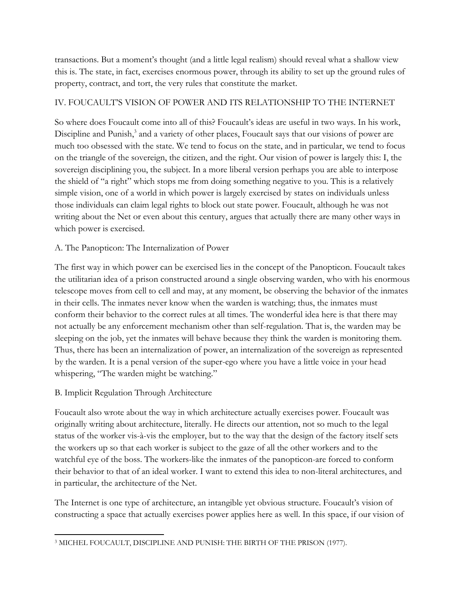transactions. But a moment's thought (and a little legal realism) should reveal what a shallow view this is. The state, in fact, exercises enormous power, through its ability to set up the ground rules of property, contract, and tort, the very rules that constitute the market.

## IV. FOUCAULT'S VISION OF POWER AND ITS RELATIONSHIP TO THE INTERNET

So where does Foucault come into all of this? Foucault's ideas are useful in two ways. In his work, Discipline and Punish,<sup>3</sup> and a variety of other places, Foucault says that our visions of power are much too obsessed with the state. We tend to focus on the state, and in particular, we tend to focus on the triangle of the sovereign, the citizen, and the right. Our vision of power is largely this: I, the sovereign disciplining you, the subject. In a more liberal version perhaps you are able to interpose the shield of "a right" which stops me from doing something negative to you. This is a relatively simple vision, one of a world in which power is largely exercised by states on individuals unless those individuals can claim legal rights to block out state power. Foucault, although he was not writing about the Net or even about this century, argues that actually there are many other ways in which power is exercised.

## A. The Panopticon: The Internalization of Power

The first way in which power can be exercised lies in the concept of the Panopticon. Foucault takes the utilitarian idea of a prison constructed around a single observing warden, who with his enormous telescope moves from cell to cell and may, at any moment, be observing the behavior of the inmates in their cells. The inmates never know when the warden is watching; thus, the inmates must conform their behavior to the correct rules at all times. The wonderful idea here is that there may not actually be any enforcement mechanism other than self-regulation. That is, the warden may be sleeping on the job, yet the inmates will behave because they think the warden is monitoring them. Thus, there has been an internalization of power, an internalization of the sovereign as represented by the warden. It is a penal version of the super-ego where you have a little voice in your head whispering, "The warden might be watching."

## B. Implicit Regulation Through Architecture

Foucault also wrote about the way in which architecture actually exercises power. Foucault was originally writing about architecture, literally. He directs our attention, not so much to the legal status of the worker vis-à-vis the employer, but to the way that the design of the factory itself sets the workers up so that each worker is subject to the gaze of all the other workers and to the watchful eye of the boss. The workers-like the inmates of the panopticon-are forced to conform their behavior to that of an ideal worker. I want to extend this idea to non-literal architectures, and in particular, the architecture of the Net.

The Internet is one type of architecture, an intangible yet obvious structure. Foucault's vision of constructing a space that actually exercises power applies here as well. In this space, if our vision of

 $\overline{a}$ <sup>3</sup> MICHEL FOUCAULT, DISCIPLINE AND PUNISH: THE BIRTH OF THE PRISON (1977).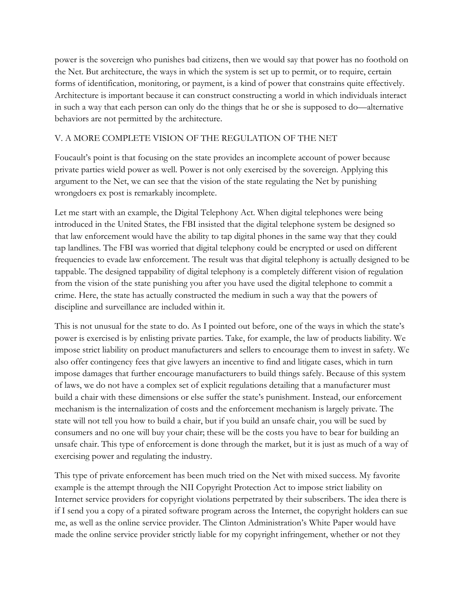power is the sovereign who punishes bad citizens, then we would say that power has no foothold on the Net. But architecture, the ways in which the system is set up to permit, or to require, certain forms of identification, monitoring, or payment, is a kind of power that constrains quite effectively. Architecture is important because it can construct constructing a world in which individuals interact in such a way that each person can only do the things that he or she is supposed to do—alternative behaviors are not permitted by the architecture.

# V. A MORE COMPLETE VISION OF THE REGULATION OF THE NET

Foucault's point is that focusing on the state provides an incomplete account of power because private parties wield power as well. Power is not only exercised by the sovereign. Applying this argument to the Net, we can see that the vision of the state regulating the Net by punishing wrongdoers ex post is remarkably incomplete.

Let me start with an example, the Digital Telephony Act. When digital telephones were being introduced in the United States, the FBI insisted that the digital telephone system be designed so that law enforcement would have the ability to tap digital phones in the same way that they could tap landlines. The FBI was worried that digital telephony could be encrypted or used on different frequencies to evade law enforcement. The result was that digital telephony is actually designed to be tappable. The designed tappability of digital telephony is a completely different vision of regulation from the vision of the state punishing you after you have used the digital telephone to commit a crime. Here, the state has actually constructed the medium in such a way that the powers of discipline and surveillance are included within it.

This is not unusual for the state to do. As I pointed out before, one of the ways in which the state's power is exercised is by enlisting private parties. Take, for example, the law of products liability. We impose strict liability on product manufacturers and sellers to encourage them to invest in safety. We also offer contingency fees that give lawyers an incentive to find and litigate cases, which in turn impose damages that further encourage manufacturers to build things safely. Because of this system of laws, we do not have a complex set of explicit regulations detailing that a manufacturer must build a chair with these dimensions or else suffer the state's punishment. Instead, our enforcement mechanism is the internalization of costs and the enforcement mechanism is largely private. The state will not tell you how to build a chair, but if you build an unsafe chair, you will be sued by consumers and no one will buy your chair; these will be the costs you have to bear for building an unsafe chair. This type of enforcement is done through the market, but it is just as much of a way of exercising power and regulating the industry.

This type of private enforcement has been much tried on the Net with mixed success. My favorite example is the attempt through the NII Copyright Protection Act to impose strict liability on Internet service providers for copyright violations perpetrated by their subscribers. The idea there is if I send you a copy of a pirated software program across the Internet, the copyright holders can sue me, as well as the online service provider. The Clinton Administration's White Paper would have made the online service provider strictly liable for my copyright infringement, whether or not they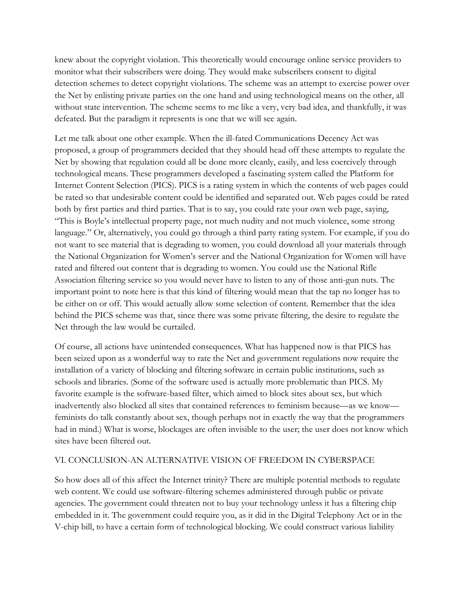knew about the copyright violation. This theoretically would encourage online service providers to monitor what their subscribers were doing. They would make subscribers consent to digital detection schemes to detect copyright violations. The scheme was an attempt to exercise power over the Net by enlisting private parties on the one hand and using technological means on the other, all without state intervention. The scheme seems to me like a very, very bad idea, and thankfully, it was defeated. But the paradigm it represents is one that we will see again.

Let me talk about one other example. When the ill-fated Communications Decency Act was proposed, a group of programmers decided that they should head off these attempts to regulate the Net by showing that regulation could all be done more cleanly, easily, and less coercively through technological means. These programmers developed a fascinating system called the Platform for Internet Content Selection (PICS). PICS is a rating system in which the contents of web pages could be rated so that undesirable content could be identified and separated out. Web pages could be rated both by first parties and third parties. That is to say, you could rate your own web page, saying, "This is Boyle's intellectual property page, not much nudity and not much violence, some strong language." Or, alternatively, you could go through a third party rating system. For example, if you do not want to see material that is degrading to women, you could download all your materials through the National Organization for Women's server and the National Organization for Women will have rated and filtered out content that is degrading to women. You could use the National Rifle Association filtering service so you would never have to listen to any of those anti-gun nuts. The important point to note here is that this kind of filtering would mean that the tap no longer has to be either on or off. This would actually allow some selection of content. Remember that the idea behind the PICS scheme was that, since there was some private filtering, the desire to regulate the Net through the law would be curtailed.

Of course, all actions have unintended consequences. What has happened now is that PICS has been seized upon as a wonderful way to rate the Net and government regulations now require the installation of a variety of blocking and filtering software in certain public institutions, such as schools and libraries. (Some of the software used is actually more problematic than PICS. My favorite example is the software-based filter, which aimed to block sites about sex, but which inadvertently also blocked all sites that contained references to feminism because—as we know feminists do talk constantly about sex, though perhaps not in exactly the way that the programmers had in mind.) What is worse, blockages are often invisible to the user; the user does not know which sites have been filtered out.

## VI. CONCLUSION-AN ALTERNATIVE VISION OF FREEDOM IN CYBERSPACE

So how does all of this affect the Internet trinity? There are multiple potential methods to regulate web content. We could use software-filtering schemes administered through public or private agencies. The government could threaten not to buy your technology unless it has a filtering chip embedded in it. The government could require you, as it did in the Digital Telephony Act or in the V-chip bill, to have a certain form of technological blocking. We could construct various liability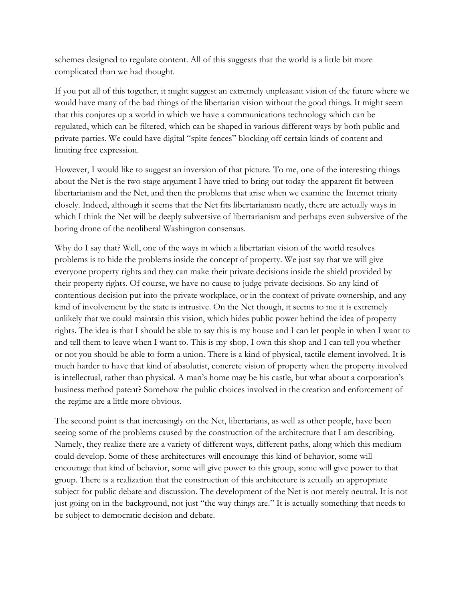schemes designed to regulate content. All of this suggests that the world is a little bit more complicated than we had thought.

If you put all of this together, it might suggest an extremely unpleasant vision of the future where we would have many of the bad things of the libertarian vision without the good things. It might seem that this conjures up a world in which we have a communications technology which can be regulated, which can be filtered, which can be shaped in various different ways by both public and private parties. We could have digital "spite fences" blocking off certain kinds of content and limiting free expression.

However, I would like to suggest an inversion of that picture. To me, one of the interesting things about the Net is the two stage argument I have tried to bring out today-the apparent fit between libertarianism and the Net, and then the problems that arise when we examine the Internet trinity closely. Indeed, although it seems that the Net fits libertarianism neatly, there are actually ways in which I think the Net will be deeply subversive of libertarianism and perhaps even subversive of the boring drone of the neoliberal Washington consensus.

Why do I say that? Well, one of the ways in which a libertarian vision of the world resolves problems is to hide the problems inside the concept of property. We just say that we will give everyone property rights and they can make their private decisions inside the shield provided by their property rights. Of course, we have no cause to judge private decisions. So any kind of contentious decision put into the private workplace, or in the context of private ownership, and any kind of involvement by the state is intrusive. On the Net though, it seems to me it is extremely unlikely that we could maintain this vision, which hides public power behind the idea of property rights. The idea is that I should be able to say this is my house and I can let people in when I want to and tell them to leave when I want to. This is my shop, I own this shop and I can tell you whether or not you should be able to form a union. There is a kind of physical, tactile element involved. It is much harder to have that kind of absolutist, concrete vision of property when the property involved is intellectual, rather than physical. A man's home may be his castle, but what about a corporation's business method patent? Somehow the public choices involved in the creation and enforcement of the regime are a little more obvious.

The second point is that increasingly on the Net, libertarians, as well as other people, have been seeing some of the problems caused by the construction of the architecture that I am describing. Namely, they realize there are a variety of different ways, different paths, along which this medium could develop. Some of these architectures will encourage this kind of behavior, some will encourage that kind of behavior, some will give power to this group, some will give power to that group. There is a realization that the construction of this architecture is actually an appropriate subject for public debate and discussion. The development of the Net is not merely neutral. It is not just going on in the background, not just "the way things are." It is actually something that needs to be subject to democratic decision and debate.